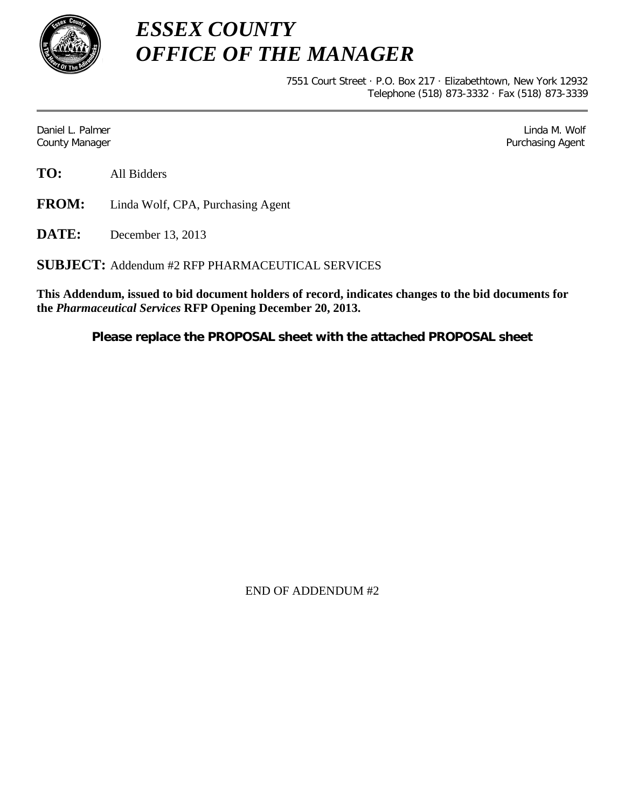

*ESSEX COUNTY OFFICE OF THE MANAGER*

> 7551 Court Street · P.O. Box 217 · Elizabethtown, New York 12932 Telephone (518) 873-3332 · Fax (518) 873-3339

Daniel L. Palmer Later and the control of the control of the control of the control of the control of the control of the control of the control of the control of the control of the control of the control of the control of County Manager Purchasing Agent

**FROM:** Linda Wolf, CPA, Purchasing Agent

**DATE:** December 13, 2013

**SUBJECT:** Addendum #2 RFP PHARMACEUTICAL SERVICES

**This Addendum, issued to bid document holders of record, indicates changes to the bid documents for the** *Pharmaceutical Services* **RFP Opening December 20, 2013.**

**Please replace the PROPOSAL sheet with the attached PROPOSAL sheet**

END OF ADDENDUM #2